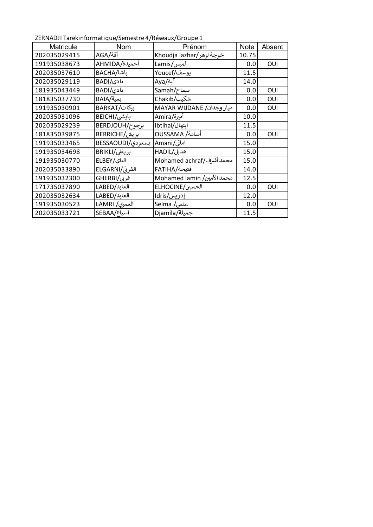ZERNADJI Tarekinformatique/Semestre 4/Réseaux/Groupe 1

| Matricule    | <b>Nom</b>       | Prénom                     | <b>Note</b> | Absent |
|--------------|------------------|----------------------------|-------------|--------|
| 202035029415 | أقة/AGA          | خوجة لزهر/Khoudja lazhar   | 10.75       |        |
| 191935038673 | أحميدة/AHMIDA    | لميس/Lamis                 | 0.0         | OUI    |
| 202035037610 | باشا/BACHA       | يوسف/Youcef                | 11.5        |        |
| 202035029119 | بادی/BADI        | آية/Aya                    | 14.0        |        |
| 181935043449 | بادی/BADI        | سماح/Samah                 | 0.0         | OUI    |
| 181835037730 | بعية/BAIA        | شکیب/Chakib                | 0.0         | OUI    |
| 191935030901 | بركات/BARKAT     | MAYAR WIJDANE /میار وجدان  | 0.0         | OUI    |
| 202035031096 | بايشي/BEICHI     | أميرة/Amira                | 10.0        |        |
| 202035029239 | برجوح/BERDJOUH   | ابتهال/Ibtihal             | 11.5        |        |
| 181835039875 | بریش/BERRICHE    | أسامة/ OUSSAMA             | 0.0         | OUI    |
| 191935033465 | بسعودي/BESSAOUDI | امانی/Amani                | 15.0        |        |
| 191935034698 | بريقلى/BRIKLI    | هدیل/HADIL                 | 15.0        |        |
| 191935030770 | الباي/ELBEY      | محمد أشرف/Mohamed achraf   | 15.0        |        |
| 202035033890 | القرنى/ELGARNI   | فتيحة/FATIHA               | 14.0        |        |
| 191935032300 | غربی/GHERBI      | Mohamed lamin /محمد الأمين | 12.5        |        |
| 171735037890 | العابد/LABED     | الحسين/ELHOCINE            | 0.0         | OUI    |
| 202035032634 | العابد/LABED     | إدريس/Idris                | 12.0        |        |
| 191935030523 | العمري/ LAMRI    | سلمی/ Selma                | 0.0         | OUI    |
| 202035033721 | اسباع/SEBAA      | جميلة/Djamila              | 11.5        |        |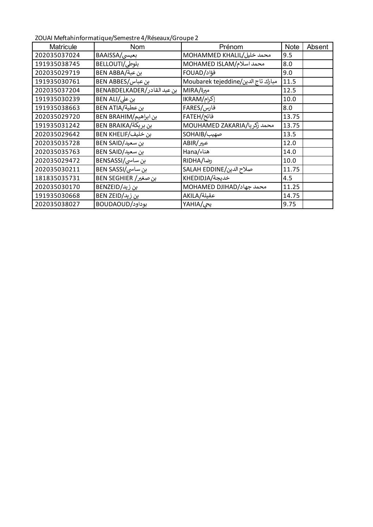ZOUAI Meftahinformatique/Semestre 4/Réseaux/Groupe 2

| <b>Matricule</b> | <b>Nom</b>                  | Prénom                             | <b>Note</b> | Absent |
|------------------|-----------------------------|------------------------------------|-------------|--------|
| 202035037024     | بعیسی/BAAISSA               | MOHAMMED KHALIL/محمد خليل          | 9.5         |        |
| 191935038745     | بلوطي/BELLOUTI              | MOHAMED ISLAM/محمد اسلام           | 8.0         |        |
| 202035029719     | بن عبة/BEN ABBA             | فؤاد/FOUAD                         | 9.0         |        |
| 191935030761     | بن عباس/BEN ABBES           | Moubarek tejeddine/مبارك تاج الدين | 11.5        |        |
| 202035037204     | بن عبد القادر/BENABDELKADER | میرة/MIRA                          | 12.5        |        |
| 191935030239     | بن على/BEN ALI              | إكرام/IKRAM                        | 10.0        |        |
| 191935038663     | بن عطية/BEN ATIA            | فارس/FARES                         | 8.0         |        |
| 202035029720     | بن ابراهيم/BEN BRAHIM       | فاتح/FATEH                         | 13.75       |        |
| 191935031242     | بن بريكة/BEN BRAIKA         | MOUHAMED ZAKARIA/بمحمد زكريا       | 13.75       |        |
| 202035029642     | بن خليف/BEN KHELIF          | صهيب/SOHAIB                        | 13.5        |        |
| 202035035728     | بن سعيد/BEN SAID            | عبیر/ABIR                          | 12.0        |        |
| 202035035763     | بن سعيد/BEN SAID            | هناء/Hana                          | 14.0        |        |
| 202035029472     | بن ساسی/BENSASSI            | رضا/RIDHA                          | 10.0        |        |
| 202035030211     | بن ساسی/BEN SASSI           | صلاح الدين/SALAH EDDINE            | 11.75       |        |
| 181835035731     | بن صغير/ BEN SEGHIER        | خديجة/KHEDIDJA                     | 4.5         |        |
| 202035030170     | بن زید/BENZEID              | MOHAMED DJIHAD/محمد جهاد           | 11.25       |        |
| 191935030668     | بن زيد/BEN ZEID             | عقيلة/AKILA                        | 14.75       |        |
| 202035038027     | بوداود/BOUDAOUD             | یحی/YAHIA                          | 9.75        |        |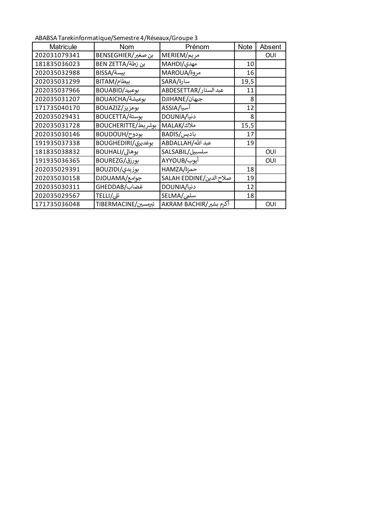ABABSA Tarekinformatique/Semestre 4/Réseaux/Groupe 3

| <b>Matricule</b> | <b>Nom</b>          | Prénom                  | <b>Note</b> | Absent |
|------------------|---------------------|-------------------------|-------------|--------|
| 202031079341     | بن صغير/BENSEGHIER  | مريم/MERIEM             |             | OUI    |
| 181835036023     | بن زطة/BEN ZETTA    | مهدی/MAHDI              | 10          |        |
| 202035032988     | بيسة/BISSA          | MAROUA/ةمروة            | 16          |        |
| 202035031299     | بيطام/BITAM         | سارة/SARA               | 19,5        |        |
| 202035037966     | BOUABID/بوعبيد      | عبد الستار/ABDESETTAR   | 11          |        |
| 202035031207     | بوعيشة/BOUAICHA     | جيهان/DJIHANE           | 8           |        |
| 171735040170     | بوعزيز/BOUAZIZ      | آسیا/ASSIA              | 12          |        |
| 202035029431     | بوستة/BOUCETTA      | دنیا/DOUNIA             | 8           |        |
| 202035031728     | بوشريط/BOUCHERITTE  | ملاك/MALAK              | 15,5        |        |
| 202035030146     | بودوح/BOUDOUH       | بادیس/BADIS             | 17          |        |
| 191935037338     | بوغديري/BOUGHEDIRI  | عبد الله/ABDALLAH       | 19          |        |
| 181835038832     | بوهالي/BOUHALI      | سلسبيل/SALSABIL         |             | OUI    |
| 191935036365     | بورزق/BOUREZG       | أيوب/AYYOUB             |             | OUI    |
| 202035029391     | بوزيدى/BOUZIDI      | حمزة/HAMZA              | 18          |        |
| 202035030158     | جوامع/DJOUAMA       | صلاح الدين/SALAH EDDINE | 19          |        |
| 202035030311     | غضاب/GHEDDAB        | دنیا/DOUNIA             | 12          |        |
| 202035029567     | تلى/TELLI           | سلمی/SELMA              | 18          |        |
| 171735036048     | تېرمسين/TIBERMACINE | أكرم بشير/AKRAM BACHIR  |             | OUI    |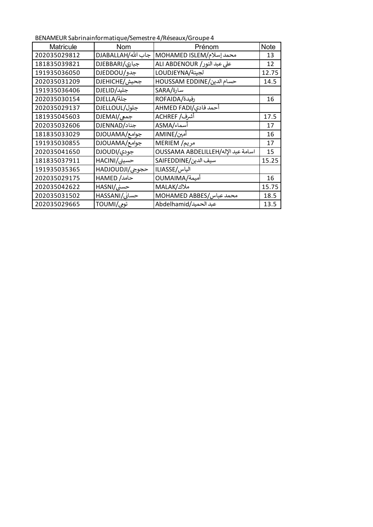BENAMEUR Sabrinainformatique/Semestre 4/Réseaux/Groupe 4

| <b>Matricule</b> | Nom                | Prénom                             | <b>Note</b> |
|------------------|--------------------|------------------------------------|-------------|
| 202035029812     | جاب الله/DJABALLAH | محمد إسلام/MOHAMED ISLEM           | 13          |
| 181835039821     | جباری/DJEBBARI     | على عبد النور/ ALI ABDENOUR        | 12          |
| 191935036050     | جدو/DJEDDOU        | لجينة/LOUDJEYNA                    | 12.75       |
| 202035031209     | جحيش/DJEHICHE      | حسام الدين/HOUSSAM EDDINE          | 14.5        |
| 191935036406     | جليد/DJELID        | سارة/SARA                          |             |
| 202035030154     | جلة/DJELLA         | رفيدة/ROFAIDA                      | 16          |
| 202035029137     | جلول/DJELLOUL      | أحمد فادى/AHMED FADI               |             |
| 181935045603     | جمعی/DJEMAI        | أشرف/ ACHREF                       | 17.5        |
| 202035032606     | جناد/DJENNAD       | أسماء/ASMA                         | 17          |
| 181835033029     | جوامع/DJOUAMA      | أمين/AMINE                         | 16          |
| 191935030855     | جوامع/DJOUAMA      | مريم/ MERIEM                       | 17          |
| 202035041650     | جودي/DJOUDI        | OUSSAMA ABDELILLEH/اسامة عبد الإله | 15          |
| 181835037911     | حسيني/HACINI       | سيف الدين/SAIFEDDINE               | 15.25       |
| 191935035365     | حجوجي/HADJOUDJI    | الياس/ILIASSE                      |             |
| 202035029175     | حامد/ HAMED        | OUMAIMA/آمیمة                      | 16          |
| 202035042622     | حسنی/HASNI         | ملاك/MALAK                         | 15.75       |
| 202035031502     | حسانی/HASSANI      | MOHAMED ABBES/محمد عباس            | 18.5        |
| 202035029665     | تومى/TOUMI         | عبد الحميد/Abdelhamid              | 13.5        |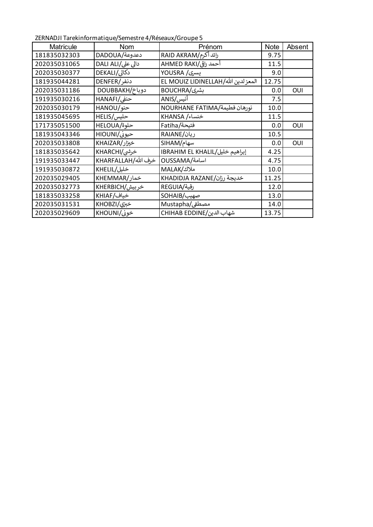ZERNADJI Tarekinformatique/Semestre 4/Réseaux/Groupe 5

| <b>Matricule</b> | Nom                 | Prénom                              | <b>Note</b> | Absent |
|------------------|---------------------|-------------------------------------|-------------|--------|
| 181835032303     | دعدوعة/DADOUA       | رائد أكرم/RAID AKRAM                | 9.75        |        |
| 202035031065     | دالی علی/DALI ALI   | أحمد راقى/AHMED RAKI                | 11.5        |        |
| 202035030377     | دکالی/DEKALI        | يسرى/ YOUSRA                        | 9.0         |        |
| 181935044281     | دنفر/DENFER         | المعز لدين الله/EL MOUIZ LIDINELLAH | 12.75       |        |
| 202035031186     | دوباخ/DOUBBAKH      | بشری/BOUCHRA                        | 0.0         | OUI    |
| 191935030216     | حنفی/HANAFI         | أنيس/ANIS                           | 7.5         |        |
| 202035030179     | حنو/HANOU           | نورهان فطيمة/NOURHANE FATIMA        | 10.0        |        |
| 181935045695     | حليس/HELIS          | خنساء/ KHANSA                       | 11.5        |        |
| 171735051500     | HELOUA/             | فتيحة/Fatiha                        | 0.0         | OUI    |
| 181935043346     | حیونی/HIOUNI        | ریان/RAIANE                         | 10.5        |        |
| 202035033808     | خیزار/KHAIZAR       | سهام/SIHAM                          | 0.0         | OUI    |
| 181835035642     | خرشی/KHARCHI        | إبراهيم خليل/IBRAHIM EL KHALIL      | 4.25        |        |
| 191935033447     | خرف الله/KHARFALLAH | اسامة/OUSSAMA                       | 4.75        |        |
| 191935030872     | خلیل/KHELIL         | ملاك/MALAK                          | 10.0        |        |
| 202035029405     | خمار/KHEMMAR        | خديجة رزان/KHADIDJA RAZANE          | 11.25       |        |
| 202035032773     | خربيش/KHERBICH      | رقية/REGUIA                         | 12.0        |        |
| 181835033258     | خياف/KHIAF          | صهيب/SOHAIB                         | 13.0        |        |
| 202035031531     | خبري/KHOBZI         | مصطفى/Mustapha                      | 14.0        |        |
| 202035029609     | خونی/KHOUNI         | شهاب الدين/CHIHAB EDDINE            | 13.75       |        |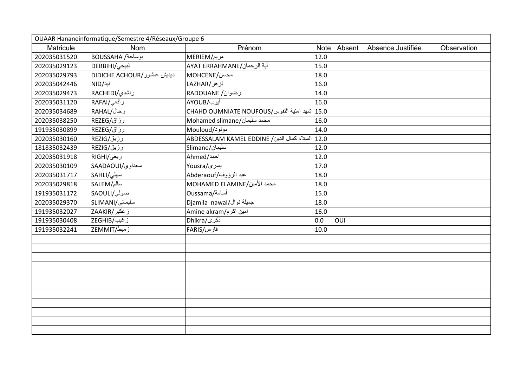| OUAAR Hananeinformatique/Semestre 4/Réseaux/Groupe 6 |                            |                                                   |             |        |                   |             |
|------------------------------------------------------|----------------------------|---------------------------------------------------|-------------|--------|-------------------|-------------|
| Matricule                                            | <b>Nom</b>                 | Prénom                                            | <b>Note</b> | Absent | Absence Justifiée | Observation |
| 202035031520                                         | BOUSSAHA /ابوساحة          | مريم/MERIEM                                       | 12.0        |        |                   |             |
| 202035029123                                         | ذبیحی/DEBBIHI              | آية الرحمان/AYAT ERRAHMANE                        | 15.0        |        |                   |             |
| 202035029793                                         | DIDICHE ACHOUR/ديديش عاشور | MOHCENE/محسن                                      | 18.0        |        |                   |             |
| 202035042446                                         | نید/NID                    | لزهر/LAZHAR                                       | 16.0        |        |                   |             |
| 202035029473                                         | راشد <i>ي R</i> ACHEDI/    | رضوان/ RADOUANE                                   | 14.0        |        |                   |             |
| 202035031120                                         | رافعی/RAFAI                | أيوب/AYOUB                                        | 16.0        |        |                   |             |
| 202035034689                                         | RAHAL/رحال                 | 15.0 أشهد امنية النفوس/CHAHD OUMNIATE NOUFOUS     |             |        |                   |             |
| 202035038250                                         | رزاق/REZEG                 | Mohamed slimane/محمد سليمان                       | 16.0        |        |                   |             |
| 191935030899                                         | رزاق/REZEG                 | مولود/Mouloud                                     | 14.0        |        |                   |             |
| 202035030160                                         | رزیق/REZIG                 | 12.0   السلام كمال الدين/ ABDESSALAM KAMEL EDDINE |             |        |                   |             |
| 181835032439                                         | رزیق/REZIG                 | Mlimane/سليمان                                    | 12.0        |        |                   |             |
| 202035031918                                         | ریغی/RIGHI                 | Ahmed/احمد                                        | 12.0        |        |                   |             |
| 202035030109                                         | سعداوي/SAADAOUI            | یسری/Yousra                                       | 17.0        |        |                   |             |
| 202035031717                                         | سهلي/SAHLI                 | عبد الرؤوف/Abderaouf                              | 18.0        |        |                   |             |
| 202035029818                                         | سالم/SALEM                 | MOHAMED ELAMINE/محمد الأمين                       | 18.0        |        |                   |             |
| 191935031172                                         | صولي/SAOULI                | Oussama/أسامة                                     | 15.0        |        |                   |             |
| 202035029370                                         | سليمانى/SLIMANI            | Djamila nawal/حميلة نوال                          | 18.0        |        |                   |             |
| 191935032027                                         | ز عکیر/ZAAKIR              | Amine akram/امين اكرم                             | 16.0        |        |                   |             |
| 191935030408                                         | زغيب/ZEGHIB                | ذكرى/Dhikra                                       | 0.0         | OUI    |                   |             |
| 191935032241                                         | زمیط/ZEMMIT                | فارس/FARIS                                        | 10.0        |        |                   |             |
|                                                      |                            |                                                   |             |        |                   |             |
|                                                      |                            |                                                   |             |        |                   |             |
|                                                      |                            |                                                   |             |        |                   |             |
|                                                      |                            |                                                   |             |        |                   |             |
|                                                      |                            |                                                   |             |        |                   |             |
|                                                      |                            |                                                   |             |        |                   |             |
|                                                      |                            |                                                   |             |        |                   |             |
|                                                      |                            |                                                   |             |        |                   |             |
|                                                      |                            |                                                   |             |        |                   |             |
|                                                      |                            |                                                   |             |        |                   |             |
|                                                      |                            |                                                   |             |        |                   |             |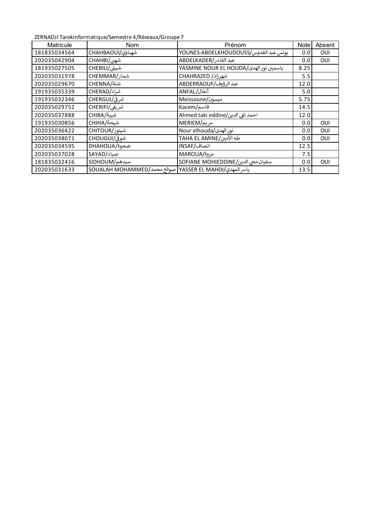ZERNADJI Tarekinformatique/Semestre 4/Réseaux/Groupe 7

| Matricule    | Nom                                                     | Prénom                                  | <b>Note</b> | Absent |
|--------------|---------------------------------------------------------|-----------------------------------------|-------------|--------|
| 181835034564 | شهباوى/CHAHBAOUI                                        | يونس عبد القدوس/YOUNES-ABDELKHOUDOUSS   | 0.0         | OUI    |
| 202035042904 | شهی/CHAHBI                                              | عبد القادر/ABDELKADER                   | 0.0         | OUI    |
| 181935027505 | شبيلى/CHEBILI                                           | YASMINE NOUR EL HOUDA/دياسمين نور الهدى | 8.25        |        |
| 202035031978 | شمار/CHEMMAR                                            | شهرزاد/ CHAHRAZED                       | 5.5         |        |
| 202035029670 | شنة/CHENNA                                              | عبد الرؤوف/ABDERRAOUF                   | 12.0        |        |
| 191935035339 | شراد/CHERAD                                             | أنفال/ANFAL                             | 5.0         |        |
| 191935032346 | شرقی/CHERGUI                                            | Meissoune/میسون                         | 5.75        |        |
| 202035029752 | شريفي/CHERIFI                                           | قاسم/Kacem                              | 14.5        |        |
| 202035037888 | شيبة/CHIBA                                              | احمد تقى الدين/Ahmed taki eddine        | 12.0        |        |
| 191935030856 | شيحة/CHIHA                                              | مريم/MERIEM                             | 0.0         | OUI    |
| 202035036422 | شيتور/CHITOUR                                           | Nour elhouda/نور الهدى                  | 0.0         | OUI    |
| 202035038071 | شوق)/CHOUGUI                                            | طه الأمين/TAHA EL AMINE                 | 0.0         | OUI    |
| 202035034595 | ضحوة/DHAHOUA                                            | انصاف/INSAF                             | 12.5        |        |
| 202035037028 | صیاد/SAYAD                                              | مروة/MAROUA                             | 7.5         |        |
| 181835032416 | سيدهم/SIDHOUM                                           | سفيان محى الدين/SOFIANE MOHIEDDINE      | 0.0         | OUI    |
| 202035031633 | ياسر المهدي/YASSER EL MAHDI صوالح محمد/SOUALAH MOHAMMED |                                         | 13.5        |        |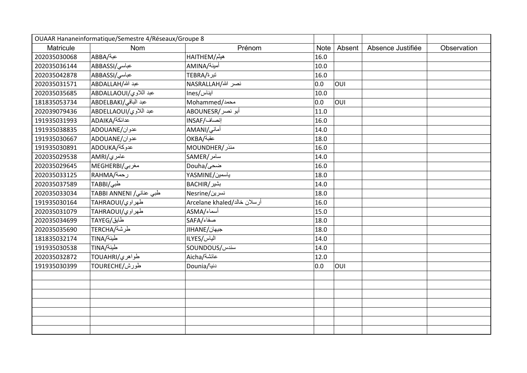| OUAAR Hananeinformatique/Semestre 4/Réseaux/Groupe 8 |                         |                             |             |        |                   |             |
|------------------------------------------------------|-------------------------|-----------------------------|-------------|--------|-------------------|-------------|
| Matricule                                            | <b>Nom</b>              | Prénom                      | <b>Note</b> | Absent | Absence Justifiée | Observation |
| 202035030068                                         | عبة/ABBA                | هيثم/HAITHEM                | 16.0        |        |                   |             |
| 202035036144                                         | عباسی/ABBASSI           | أمينة/AMINA                 | 10.0        |        |                   |             |
| 202035042878                                         | عباسی/ABBASSI           | تبرة/TEBRA                  | 16.0        |        |                   |             |
| 202035031571                                         | عبد الله/ABDALLAH       | نصر الله/NASRALLAH          | 0.0         | OUI    |                   |             |
| 202035035685                                         | عبد اللاوي/ABDALLAOUI   | ایناس/Ines                  | 10.0        |        |                   |             |
| 181835053734                                         | عبد الباقي/ABDELBAKI    | Mohammed/محمد               | 0.0         | OUI    |                   |             |
| 202039079436                                         | عبد اللاوي/ABDELLAOUI   | أبو نصر/ABOUNESR            | 11.0        |        |                   |             |
| 191935031993                                         | عدائكة/ADAIKA           | إنصاف/INSAF                 | 16.0        |        |                   |             |
| 191935038835                                         | عدوان/ADOUANE           | أمانى/AMANI                 | 14.0        |        |                   |             |
| 191935030667                                         | عدوان/ADOUANE           | OKBA/عقبة                   | 18.0        |        |                   |             |
| 191935030891                                         | عدوكة/ADOUKA            | MOUNDHER/منذر               | 16.0        |        |                   |             |
| 202035029538                                         | عامري/AMRI              | سامر/SAMER                  | 14.0        |        |                   |             |
| 202035029645                                         | MEGHERBI/مغربی          | Douha/ضحى                   | 16.0        |        |                   |             |
| 202035033125                                         | رحمة/RAHMA              | ياسمين/YASMINE              | 18.0        |        |                   |             |
| 202035037589                                         | طبی/TABBI               | بشير/BACHIR                 | 14.0        |        |                   |             |
| 202035033034                                         | طبی عنانی/ TABBI ANNENI | نسرين/Nesrine               | 18.0        |        |                   |             |
| 191935030164                                         | طهراوي/TAHRAOUI         | أرسلان خالد/Arcelane khaled | 16.0        |        |                   |             |
| 202035031079                                         | طهراوي/TAHRAOUI         | أسماء/ASMA                  | 15.0        |        |                   |             |
| 202035034699                                         | طايق/TAYEG              | صفاء/SAFA                   | 18.0        |        |                   |             |
| 202035035690                                         | طرشة/TERCHA             | جيهان/JIHANE                | 18.0        |        |                   |             |
| 181835032174                                         | طينة/TINA               | الياس/ILYES                 | 14.0        |        |                   |             |
| 191935030538                                         | طينة/TINA               | <b>SOUNDOUS/سندس</b>        | 14.0        |        |                   |             |
| 202035032872                                         | طواهري/TOUAHRI          | عائشة/Aicha                 | 12.0        |        |                   |             |
| 191935030399                                         | طورش/TOURECHE           | دنیا/Dounia                 | 0.0         | OUI    |                   |             |
|                                                      |                         |                             |             |        |                   |             |
|                                                      |                         |                             |             |        |                   |             |
|                                                      |                         |                             |             |        |                   |             |
|                                                      |                         |                             |             |        |                   |             |
|                                                      |                         |                             |             |        |                   |             |
|                                                      |                         |                             |             |        |                   |             |
|                                                      |                         |                             |             |        |                   |             |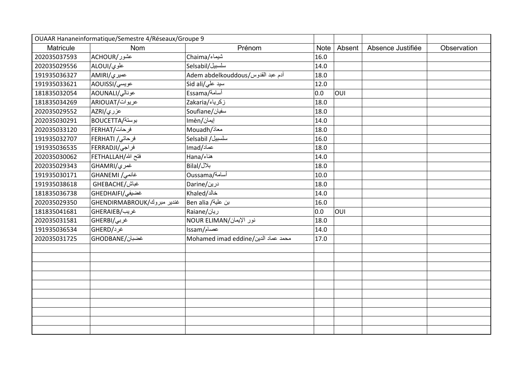| OUAAR Hananeinformatique/Semestre 4/Réseaux/Groupe 9 |                            |                                     |      |        |                   |             |
|------------------------------------------------------|----------------------------|-------------------------------------|------|--------|-------------------|-------------|
| Matricule                                            | <b>Nom</b>                 | Prénom                              | Note | Absent | Absence Justifiée | Observation |
| 202035037593                                         | عشور/ACHOUR                | شيماء/Chaima                        | 16.0 |        |                   |             |
| 202035029556                                         | علوى/ALOUI                 | سلسبيل/Selsabil                     | 14.0 |        |                   |             |
| 191935036327                                         | عميري/AMIRI                | Adem abdelkouddous/آدم عبد القدوس   | 18.0 |        |                   |             |
| 191935033621                                         | عويسي/AOUISSI              | سید علی/Sid ali                     | 12.0 |        |                   |             |
| 181835032054                                         | عونالي/AOUNALI             | أسامة/Essama                        | 0.0  | OUI    |                   |             |
| 181835034269                                         | عريوات/ARIOUAT             | زكرياء/Zakaria                      | 18.0 |        |                   |             |
| 202035029552                                         | عزر <i>ي/</i> AZRI         | Soufiane/سفيان                      | 18.0 |        |                   |             |
| 202035030291                                         | بوستة/BOUCETTA             | إيمان/Imèn                          | 14.0 |        |                   |             |
| 202035033120                                         | فرحات/FERHAT               | Mouadh/معاذ                         | 18.0 |        |                   |             |
| 191935032707                                         | فرحاتی/ FERHATI            | سلسبيل/ Selsabil                    | 16.0 |        |                   |             |
| 191935036535                                         | فراجى/FERRADJI             | lmad/عماد                           | 18.0 |        |                   |             |
| 202035030062                                         | فتح الله/FETHALLAH         | هناء/Hana                           | 14.0 |        |                   |             |
| 202035029343                                         | غمري/GHAMRI                | بلال/Bilal                          | 18.0 |        |                   |             |
| 191935030171                                         | غانمی/ GHANEMI             | Oussama/أسامة                       | 10.0 |        |                   |             |
| 191935038618                                         | غباش/GHEBACHE              | درین/Darine                         | 18.0 |        |                   |             |
| 181835036738                                         | غضيفي/ GHEDHAIF            | خالد/Khaled                         | 14.0 |        |                   |             |
| 202035029350                                         | غندير مبروك/GHENDIRMABROUK | بن علية/ Ben alia                   | 16.0 |        |                   |             |
| 181835041681                                         | غريب/GHERAIEB              | ریان/Raiane                         | 0.0  | OUI    |                   |             |
| 202035031581                                         | غربی/GHERBI                | نور الإيمان/NOUR ELIMAN             | 18.0 |        |                   |             |
| 191935036534                                         | غرد/GHERD                  | عصام/Issam                          | 14.0 |        |                   |             |
| 202035031725                                         | غضبان/GHODBANE             | Mohamed imad eddine/محمد عماد الدين | 17.0 |        |                   |             |
|                                                      |                            |                                     |      |        |                   |             |
|                                                      |                            |                                     |      |        |                   |             |
|                                                      |                            |                                     |      |        |                   |             |
|                                                      |                            |                                     |      |        |                   |             |
|                                                      |                            |                                     |      |        |                   |             |
|                                                      |                            |                                     |      |        |                   |             |
|                                                      |                            |                                     |      |        |                   |             |
|                                                      |                            |                                     |      |        |                   |             |
|                                                      |                            |                                     |      |        |                   |             |
|                                                      |                            |                                     |      |        |                   |             |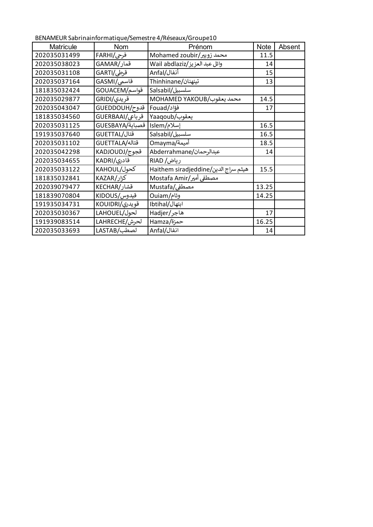BENAMEUR Sabrinainformatique/Semestre 4/Réseaux/Groupe10

| <b>Matricule</b> | <b>Nom</b>                   | Prénom                               | <b>Note</b> | Absent |
|------------------|------------------------------|--------------------------------------|-------------|--------|
| 202035031499     | فرحى/FARHI                   | Mohamed zoubir/محمد زويير            | 11.5        |        |
| 202035038023     | قمار/GAMAR                   | وائل عبد العزيز/Wail abdlaziz        | 14          |        |
| 202035031108     | قرطی/GARTI                   | أنفال/Anfal                          | 15          |        |
| 202035037164     | قاسمی/GASMI                  | تینهنان/Thinhinane                   | 13          |        |
| 181835032424     | قواسم/GOUACEM                | سلسبيل/Salsabil                      |             |        |
| 202035029877     | قریدی/GRIDI                  | MOHAMED YAKOUB/محمد يعقوب            | 14.5        |        |
| 202035043047     | قدوح/GUEDDOUH                | فؤاد/Fouad                           | 17          |        |
| 181835034560     | قرباعی/GUERBAAI              | يعقوب/Yaaqoub                        |             |        |
| 202035031125     | إسلام/Islem  قصباية/GUESBAYA |                                      | 16.5        |        |
| 191935037640     | قتال/GUETTAL                 | سلسبيل/Salsabil                      | 16.5        |        |
| 202035031102     | قتاله/GUETTALA               | أميمة/Omayma                         | 18.5        |        |
| 202035042298     | قجوج/KADJOUDJ                | عبدالرحمان/Abderrahmane              | 14          |        |
| 202035034655     | قادری/KADRI                  | ریاض/ RIAD                           |             |        |
| 202035033122     | كحول/KAHOUL                  | هيثم سراج الدين/Haithem siradjeddine | 15.5        |        |
| 181835032841     | كزار/KAZAR                   | مصطفى أمير/Mostafa Amir              |             |        |
| 202039079477     | قشار/KECHAR                  | مصطفى/Mustafa                        | 13.25       |        |
| 181839070804     | قيدوس/KIDOUS                 | وئام/Ouiam                           | 14.25       |        |
| 191935034731     | قويدرى/KOUIDRI               | ابتهال/Ibtihal                       |             |        |
| 202035030367     | لحول/LAHOUEL                 | هاجر/Hadjer                          | 17          |        |
| 191939083514     | لحرش/LAHRECHE                | Hamza/حمزة                           | 16.25       |        |
| 202035033693     | لصطب/LASTAB                  | انفال/Anfal                          | 14          |        |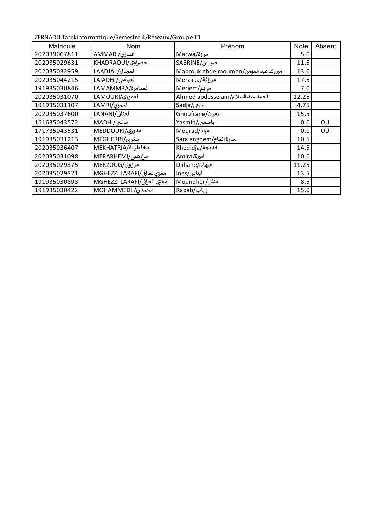ZERNADJI Tarekinformatique/Semestre 4/Réseaux/Groupe 11

| <b>Matricule</b> | <b>Nom</b>                  | Prénom                               | <b>Note</b> | Absent |
|------------------|-----------------------------|--------------------------------------|-------------|--------|
| 202039067811     | عماری/AMMARI                | مروة/Marwa                           | 5.0         |        |
| 202035029631     | خضراوى/KHADRAOUI            | صبرين/SABRINE                        | 11.5        |        |
| 202035032959     | لعجال/LAADJAL               | Mabrouk abdelmoumen/مبروك عبد المؤمن | 13.0        |        |
| 202035044215     | لعياضي/LAIADHI              | مرزاقة/Merzaka                       | 17.5        |        |
| 191935030846     | لعمامرة/LAMAMMRA            | مريم/Meriem                          | 7.0         |        |
| 202035031070     | لعمورى/LAMOURI              | أحمد عبد السلام/Ahmed abdesselam     | 12.25       |        |
| 191935031107     | لعمري/LAMRI                 | سجى/Sadja                            | 4.75        |        |
| 202035037600     | لعنانى/LANANI               | غفران/Ghoufrane                      | 15.5        |        |
| 161635043572     | ماضی/MADHI                  | ياسمين/Yasmin                        | 0.0         | OUI    |
| 171735043531     | مدوری/MEDDOURI              | Mourad/مراد                          | 0.0         | OUI    |
| 191935031213     | مغربی/MEGHERBI              | Sara anghem/سارة انغام               | 10.5        |        |
| 202035036407     | MEKHATRIA/مخاطرية           | خديجة/Khedidja                       | 14.5        |        |
| 202035031098     | مرارهمی/MERARHEMI           | أميرة/Amira                          | 10.0        |        |
| 202035029375     | مرزوق/MERZOUG               | جيهان/Djihane                        | 11.25       |        |
| 202035029321     | مغزي لعرافي/MGHEZZI LARAFI  | ایناس/Ines                           | 13.5        |        |
| 191935030893     | مغزي العرافي/MGHEZZI LARAFI | منذر/Moundher                        | 8.5         |        |
| 191935030422     | MOHAMMEDI /محمدی/           | رباب/Rabab                           | 15.0        |        |